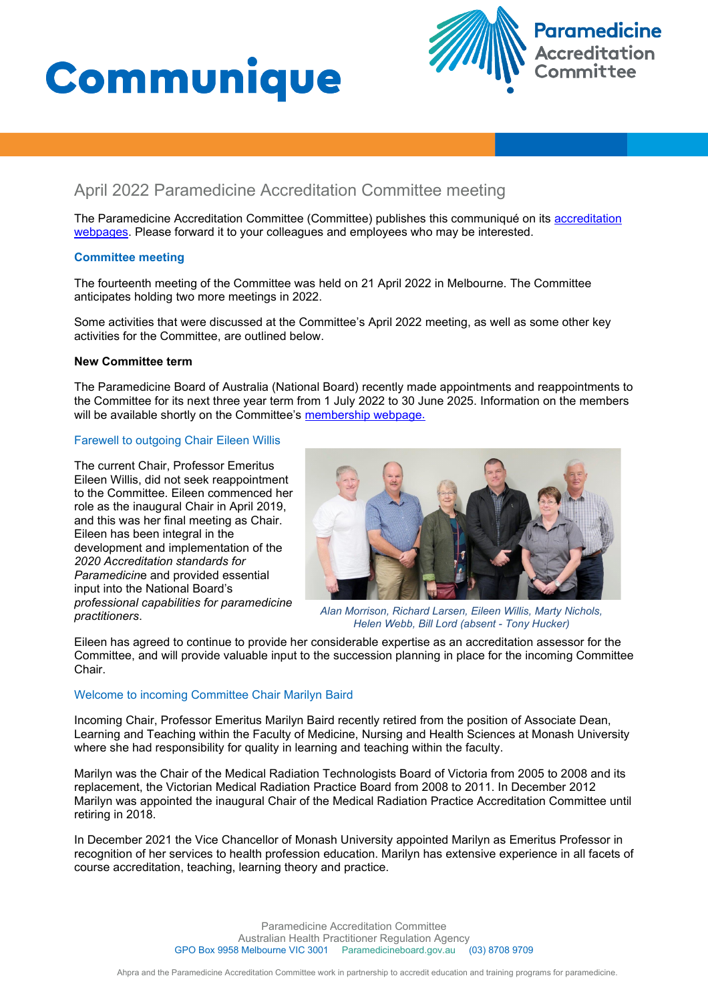



# April 2022 Paramedicine Accreditation Committee meeting

The Paramedicine Accreditation Committee (Committee) publishes this communiqué on its accreditation [webpages](https://www.paramedicineboard.gov.au/Accreditation.aspx). Please forward it to your colleagues and employees who may be interested.

## **Committee meeting**

The fourteenth meeting of the Committee was held on 21 April 2022 in Melbourne. The Committee anticipates holding two more meetings in 2022.

Some activities that were discussed at the Committee's April 2022 meeting, as well as some other key activities for the Committee, are outlined below.

## **New Committee term**

The Paramedicine Board of Australia (National Board) recently made appointments and reappointments to the Committee for its next three year term from 1 July 2022 to 30 June 2025. Information on the members will be available shortly on the Committee's [membership webpage.](https://www.paramedicineboard.gov.au/Accreditation.aspx)

## Farewell to outgoing Chair Eileen Willis

The current Chair, Professor Emeritus Eileen Willis, did not seek reappointment to the Committee. Eileen commenced her role as the inaugural Chair in April 2019, and this was her final meeting as Chair. Eileen has been integral in the development and implementation of the *2020 Accreditation standards for Paramedicin*e and provided essential input into the National Board's *professional capabilities for paramedicine practitioners*.



*Alan Morrison, Richard Larsen, Eileen Willis, Marty Nichols, Helen Webb, Bill Lord (absent - Tony Hucker)*

Eileen has agreed to continue to provide her considerable expertise as an accreditation assessor for the Committee, and will provide valuable input to the succession planning in place for the incoming Committee Chair.

## Welcome to incoming Committee Chair Marilyn Baird

Incoming Chair, Professor Emeritus Marilyn Baird recently retired from the position of Associate Dean, Learning and Teaching within the Faculty of Medicine, Nursing and Health Sciences at Monash University where she had responsibility for quality in learning and teaching within the faculty.

Marilyn was the Chair of the Medical Radiation Technologists Board of Victoria from 2005 to 2008 and its replacement, the Victorian Medical Radiation Practice Board from 2008 to 2011. In December 2012 Marilyn was appointed the inaugural Chair of the Medical Radiation Practice Accreditation Committee until retiring in 2018.

In December 2021 the Vice Chancellor of Monash University appointed Marilyn as Emeritus Professor in recognition of her services to health profession education. Marilyn has extensive experience in all facets of course accreditation, teaching, learning theory and practice.